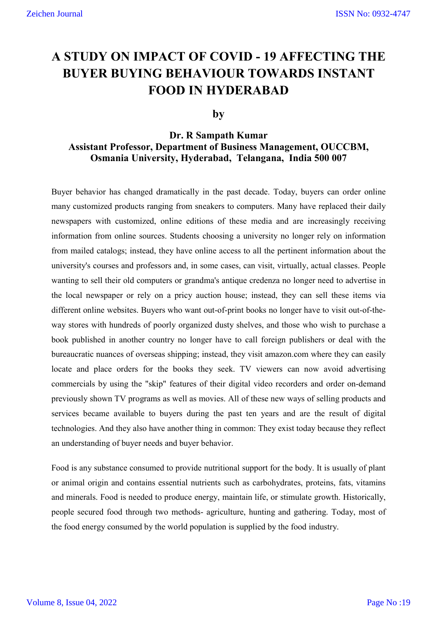# **A STUDY ON IMPACT OF COVID - 19 AFFECTING THE BUYER BUYING BEHAVIOUR TOWARDS INSTANT FOOD IN HYDERABAD**

# **by**

# **Dr. R Sampath Kumar Assistant Professor, Department of Business Management, OUCCBM, Osmania University, Hyderabad, Telangana, India 500 007**

Buyer behavior has changed dramatically in the past decade. Today, buyers can order online many customized products ranging from sneakers to computers. Many have replaced their daily newspapers with customized, online editions of these media and are increasingly receiving information from online sources. Students choosing a university no longer rely on information from mailed catalogs; instead, they have online access to all the pertinent information about the university's courses and professors and, in some cases, can visit, virtually, actual classes. People wanting to sell their old computers or grandma's antique credenza no longer need to advertise in the local newspaper or rely on a pricy auction house; instead, they can sell these items via different online websites. Buyers who want out-of-print books no longer have to visit out-of-theway stores with hundreds of poorly organized dusty shelves, and those who wish to purchase a book published in another country no longer have to call foreign publishers or deal with the bureaucratic nuances of overseas shipping; instead, they visit amazon.com where they can easily locate and place orders for the books they seek. TV viewers can now avoid advertising commercials by using the "skip" features of their digital video recorders and order on-demand previously shown TV programs as well as movies. All of these new ways of selling products and services became available to buyers during the past ten years and are the result of digital technologies. And they also have another thing in common: They exist today because they reflect an understanding of buyer needs and buyer behavior.

Food is any substance consumed to provide nutritional support for the body. It is usually of plant or animal origin and contains essential nutrients such as carbohydrates, proteins, fats, vitamins and minerals. Food is needed to produce energy, maintain life, or stimulate growth. Historically, people secured food through two methods- agriculture, hunting and gathering. Today, most of the food energy consumed by the world population is supplied by the food industry.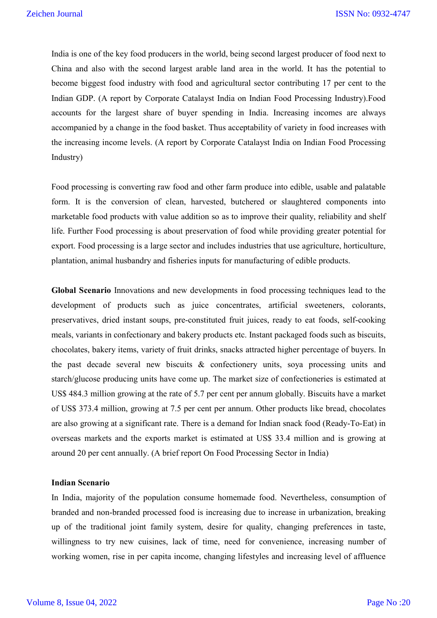India is one of the key food producers in the world, being second largest producer of food next to China and also with the second largest arable land area in the world. It has the potential to become biggest food industry with food and agricultural sector contributing 17 per cent to the Indian GDP. (A report by Corporate Catalayst India on Indian Food Processing Industry).Food accounts for the largest share of buyer spending in India. Increasing incomes are always accompanied by a change in the food basket. Thus acceptability of variety in food increases with the increasing income levels. (A report by Corporate Catalayst India on Indian Food Processing Industry)

Food processing is converting raw food and other farm produce into edible, usable and palatable form. It is the conversion of clean, harvested, butchered or slaughtered components into marketable food products with value addition so as to improve their quality, reliability and shelf life. Further Food processing is about preservation of food while providing greater potential for export. Food processing is a large sector and includes industries that use agriculture, horticulture, plantation, animal husbandry and fisheries inputs for manufacturing of edible products.

**Global Scenario** Innovations and new developments in food processing techniques lead to the development of products such as juice concentrates, artificial sweeteners, colorants, preservatives, dried instant soups, pre-constituted fruit juices, ready to eat foods, self-cooking meals, variants in confectionary and bakery products etc. Instant packaged foods such as biscuits, chocolates, bakery items, variety of fruit drinks, snacks attracted higher percentage of buyers. In the past decade several new biscuits & confectionery units, soya processing units and starch/glucose producing units have come up. The market size of confectioneries is estimated at US\$ 484.3 million growing at the rate of 5.7 per cent per annum globally. Biscuits have a market of US\$ 373.4 million, growing at 7.5 per cent per annum. Other products like bread, chocolates are also growing at a significant rate. There is a demand for Indian snack food (Ready-To-Eat) in overseas markets and the exports market is estimated at US\$ 33.4 million and is growing at around 20 per cent annually. (A brief report On Food Processing Sector in India)

## **Indian Scenario**

In India, majority of the population consume homemade food. Nevertheless, consumption of branded and non-branded processed food is increasing due to increase in urbanization, breaking up of the traditional joint family system, desire for quality, changing preferences in taste, willingness to try new cuisines, lack of time, need for convenience, increasing number of working women, rise in per capita income, changing lifestyles and increasing level of affluence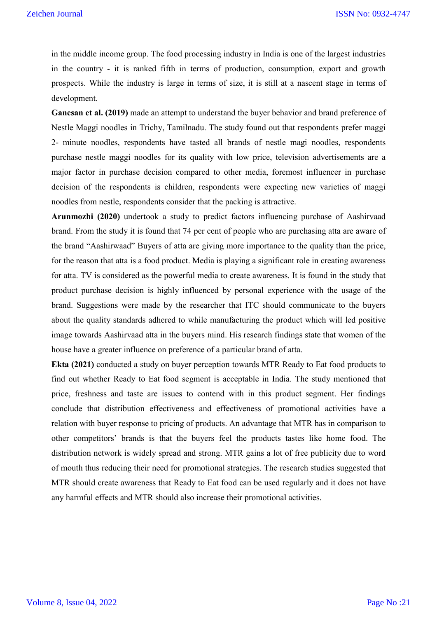in the middle income group. The food processing industry in India is one of the largest industries in the country - it is ranked fifth in terms of production, consumption, export and growth prospects. While the industry is large in terms of size, it is still at a nascent stage in terms of development.

**Ganesan et al. (2019)** made an attempt to understand the buyer behavior and brand preference of Nestle Maggi noodles in Trichy, Tamilnadu. The study found out that respondents prefer maggi 2- minute noodles, respondents have tasted all brands of nestle magi noodles, respondents purchase nestle maggi noodles for its quality with low price, television advertisements are a major factor in purchase decision compared to other media, foremost influencer in purchase decision of the respondents is children, respondents were expecting new varieties of maggi noodles from nestle, respondents consider that the packing is attractive.

**Arunmozhi (2020)** undertook a study to predict factors influencing purchase of Aashirvaad brand. From the study it is found that 74 per cent of people who are purchasing atta are aware of the brand "Aashirwaad" Buyers of atta are giving more importance to the quality than the price, for the reason that atta is a food product. Media is playing a significant role in creating awareness for atta. TV is considered as the powerful media to create awareness. It is found in the study that product purchase decision is highly influenced by personal experience with the usage of the brand. Suggestions were made by the researcher that ITC should communicate to the buyers about the quality standards adhered to while manufacturing the product which will led positive image towards Aashirvaad atta in the buyers mind. His research findings state that women of the house have a greater influence on preference of a particular brand of atta.

**Ekta (2021)** conducted a study on buyer perception towards MTR Ready to Eat food products to find out whether Ready to Eat food segment is acceptable in India. The study mentioned that price, freshness and taste are issues to contend with in this product segment. Her findings conclude that distribution effectiveness and effectiveness of promotional activities have a relation with buyer response to pricing of products. An advantage that MTR has in comparison to other competitors' brands is that the buyers feel the products tastes like home food. The distribution network is widely spread and strong. MTR gains a lot of free publicity due to word of mouth thus reducing their need for promotional strategies. The research studies suggested that MTR should create awareness that Ready to Eat food can be used regularly and it does not have any harmful effects and MTR should also increase their promotional activities.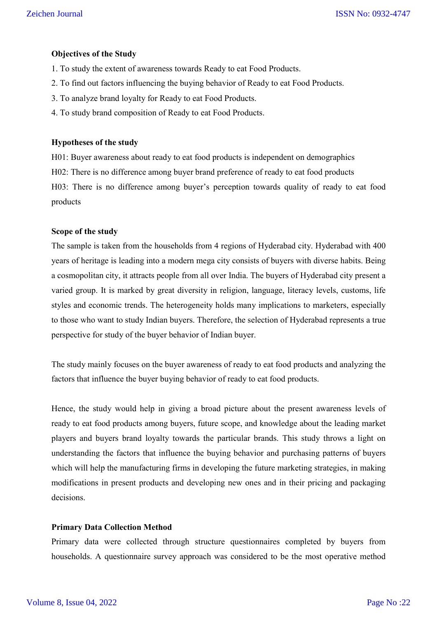# **Objectives of the Study**

- 1. To study the extent of awareness towards Ready to eat Food Products.
- 2. To find out factors influencing the buying behavior of Ready to eat Food Products.
- 3. To analyze brand loyalty for Ready to eat Food Products.
- 4. To study brand composition of Ready to eat Food Products.

## **Hypotheses of the study**

H01: Buyer awareness about ready to eat food products is independent on demographics

H02: There is no difference among buyer brand preference of ready to eat food products

H03: There is no difference among buyer's perception towards quality of ready to eat food products

## **Scope of the study**

The sample is taken from the households from 4 regions of Hyderabad city. Hyderabad with 400 years of heritage is leading into a modern mega city consists of buyers with diverse habits. Being a cosmopolitan city, it attracts people from all over India. The buyers of Hyderabad city present a varied group. It is marked by great diversity in religion, language, literacy levels, customs, life styles and economic trends. The heterogeneity holds many implications to marketers, especially to those who want to study Indian buyers. Therefore, the selection of Hyderabad represents a true perspective for study of the buyer behavior of Indian buyer.

The study mainly focuses on the buyer awareness of ready to eat food products and analyzing the factors that influence the buyer buying behavior of ready to eat food products.

Hence, the study would help in giving a broad picture about the present awareness levels of ready to eat food products among buyers, future scope, and knowledge about the leading market players and buyers brand loyalty towards the particular brands. This study throws a light on understanding the factors that influence the buying behavior and purchasing patterns of buyers which will help the manufacturing firms in developing the future marketing strategies, in making modifications in present products and developing new ones and in their pricing and packaging decisions.

# **Primary Data Collection Method**

Primary data were collected through structure questionnaires completed by buyers from households. A questionnaire survey approach was considered to be the most operative method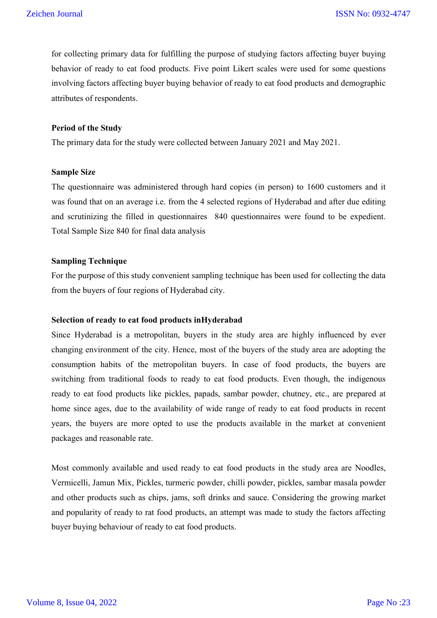for collecting primary data for fulfilling the purpose of studying factors affecting buyer buying behavior of ready to eat food products. Five point Likert scales were used for some questions involving factors affecting buyer buying behavior of ready to eat food products and demographic attributes of respondents.

### **Period of the Study**

The primary data for the study were collected between January 2021 and May 2021.

## **Sample Size**

The questionnaire was administered through hard copies (in person) to 1600 customers and it was found that on an average i.e. from the 4 selected regions of Hyderabad and after due editing and scrutinizing the filled in questionnaires 840 questionnaires were found to be expedient. Total Sample Size 840 for final data analysis

## **Sampling Technique**

For the purpose of this study convenient sampling technique has been used for collecting the data from the buyers of four regions of Hyderabad city.

# **Selection of ready to eat food products inHyderabad**

Since Hyderabad is a metropolitan, buyers in the study area are highly influenced by ever changing environment of the city. Hence, most of the buyers of the study area are adopting the consumption habits of the metropolitan buyers. In case of food products, the buyers are switching from traditional foods to ready to eat food products. Even though, the indigenous ready to eat food products like pickles, papads, sambar powder, chutney, etc., are prepared at home since ages, due to the availability of wide range of ready to eat food products in recent years, the buyers are more opted to use the products available in the market at convenient packages and reasonable rate.

Most commonly available and used ready to eat food products in the study area are Noodles, Vermicelli, Jamun Mix, Pickles, turmeric powder, chilli powder, pickles, sambar masala powder and other products such as chips, jams, soft drinks and sauce. Considering the growing market and popularity of ready to rat food products, an attempt was made to study the factors affecting buyer buying behaviour of ready to eat food products.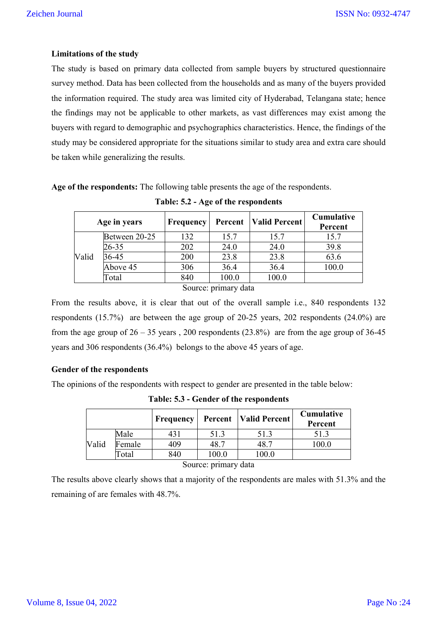# **Limitations of the study**

The study is based on primary data collected from sample buyers by structured questionnaire survey method. Data has been collected from the households and as many of the buyers provided the information required. The study area was limited city of Hyderabad, Telangana state; hence the findings may not be applicable to other markets, as vast differences may exist among the buyers with regard to demographic and psychographics characteristics. Hence, the findings of the study may be considered appropriate for the situations similar to study area and extra care should be taken while generalizing the results.

**Age of the respondents:** The following table presents the age of the respondents.

|       | Age in years         | Frequency | Percent | Valid Percent | <b>Cumulative</b><br>Percent |  |  |  |  |
|-------|----------------------|-----------|---------|---------------|------------------------------|--|--|--|--|
|       | Between 20-25        | 132       | 15.7    | 15.7          | 15.7                         |  |  |  |  |
|       | $26 - 35$            | 202       | 24.0    | 24.0          | 39.8                         |  |  |  |  |
| Valid | $36 - 45$            | 200       | 23.8    | 23.8          | 63.6                         |  |  |  |  |
|       | Above 45             | 306       | 36.4    | 36.4          | 100.0                        |  |  |  |  |
|       | Total                | 840       | 100.0   | 100.0         |                              |  |  |  |  |
|       | Source: primary data |           |         |               |                              |  |  |  |  |

**Table: 5.2 - Age of the respondents**

From the results above, it is clear that out of the overall sample i.e., 840 respondents 132 respondents (15.7%) are between the age group of 20-25 years, 202 respondents (24.0%) are from the age group of  $26 - 35$  years, 200 respondents (23.8%) are from the age group of 36-45 years and 306 respondents (36.4%) belongs to the above 45 years of age.

# **Gender of the respondents**

The opinions of the respondents with respect to gender are presented in the table below:

|       |        | Frequency |       | <b>Percent</b>   Valid Percent | Cumulative<br>Percent |
|-------|--------|-----------|-------|--------------------------------|-----------------------|
|       | Male   | 431       | 51.3  | 51.3                           | 51.3                  |
| Valid | Female | 409       | 48.7  | $+8.7$                         | 100.0                 |
|       | Total  | 840       | 100.0 | 100.0                          |                       |
|       |        | $\sim$    |       |                                |                       |

**Table: 5.3 - Gender of the respondents**

Source: primary data

The results above clearly shows that a majority of the respondents are males with 51.3% and the remaining of are females with 48.7%.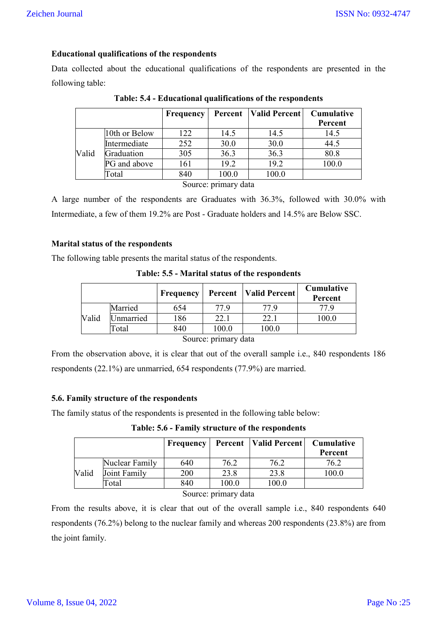# **Educational qualifications of the respondents**

Data collected about the educational qualifications of the respondents are presented in the following table:

|       |               | Frequency |                      | <b>Percent</b>   Valid Percent | <b>Cumulative</b><br>Percent |
|-------|---------------|-----------|----------------------|--------------------------------|------------------------------|
|       | 10th or Below | 122       | 14.5                 | 14.5                           | 14.5                         |
|       | Intermediate  | 252       | 30.0                 | 30.0                           | 44.5                         |
| Valid | Graduation    | 305       | 36.3                 | 36.3                           | 80.8                         |
|       | PG and above  | 161       | 19.2                 | 19.2                           | 100.0                        |
|       | Total         | 840       | 100.0                | 100.0                          |                              |
|       |               |           | Source: primary data |                                |                              |

**Table: 5.4 - Educational qualifications of the respondents**

A large number of the respondents are Graduates with 36.3%, followed with 30.0% with Intermediate, a few of them 19.2% are Post - Graduate holders and 14.5% are Below SSC.

# **Marital status of the respondents**

The following table presents the marital status of the respondents.

**Table: 5.5 - Marital status of the respondents**

|       |           | Frequency | Percent                                      | <b>Valid Percent</b> | Cumulative<br>Percent |
|-------|-----------|-----------|----------------------------------------------|----------------------|-----------------------|
|       | Married   | 654       | 77.9                                         | 77 Q                 | 77 Q                  |
| Valid | Jnmarried | 186       | 22.1                                         | 22.1                 | 100.0                 |
|       | Total     | 840       | 100.0                                        | 100.0                |                       |
|       |           |           | $\mathcal{C}_{\text{outmax}}$ numeral detail |                      |                       |

Source: primary data

From the observation above, it is clear that out of the overall sample i.e., 840 respondents 186 respondents (22.1%) are unmarried, 654 respondents (77.9%) are married.

# **5.6. Family structure of the respondents**

The family status of the respondents is presented in the following table below:

**Table: 5.6 - Family structure of the respondents**

|       |                | Frequency |                               | <b>Percent</b>   Valid Percent | Cumulative<br>Percent |
|-------|----------------|-----------|-------------------------------|--------------------------------|-----------------------|
|       | Nuclear Family | 640       | 76.2                          | 76.2                           | 76.2                  |
| Valid | Joint Family   | 200       | 23.8                          | 23.8                           | 100.0                 |
|       | [otal          | 840       | 100.0                         | 100.0                          |                       |
|       |                |           | $\mathcal{C}_{\Omega^{1000}}$ |                                |                       |

Source: primary data

From the results above, it is clear that out of the overall sample i.e., 840 respondents 640 respondents (76.2%) belong to the nuclear family and whereas 200 respondents (23.8%) are from the joint family.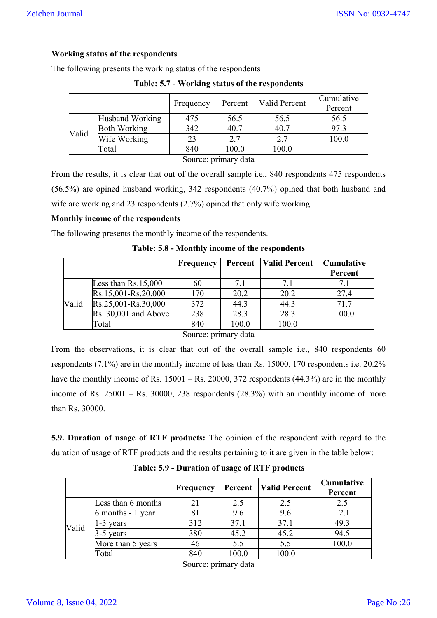# **Working status of the respondents**

The following presents the working status of the respondents

|                      |                     | Frequency | Percent | Valid Percent | Cumulative<br>Percent |  |  |
|----------------------|---------------------|-----------|---------|---------------|-----------------------|--|--|
|                      | Husband Working     | 475       | 56.5    | 56.5          | 56.5                  |  |  |
| Valid                | <b>Both Working</b> | 342       | 40.7    | 40.7          | 97.3                  |  |  |
|                      | Wife Working        | 23        | 2.7     | 2.7           | 100.0                 |  |  |
|                      | Total               | 840       | 100.0   | 100.0         |                       |  |  |
| Source: primary data |                     |           |         |               |                       |  |  |

**Table: 5.7 - Working status of the respondents**

From the results, it is clear that out of the overall sample i.e., 840 respondents 475 respondents (56.5%) are opined husband working, 342 respondents (40.7%) opined that both husband and wife are working and 23 respondents  $(2.7%)$  opined that only wife working.

## **Monthly income of the respondents**

The following presents the monthly income of the respondents.

|       |                       | <b>Frequency</b> |       | <b>Percent</b>   Valid Percent | Cumulative |
|-------|-----------------------|------------------|-------|--------------------------------|------------|
|       |                       |                  |       |                                | Percent    |
|       | Less than $Rs.15,000$ | 60               | 7.1   | 7.1                            | 7.1        |
|       | Rs.15,001-Rs.20,000   | 170              | 20.2  | 20.2                           | 27.4       |
| Valid | Rs.25,001-Rs.30,000   | 372              | 44.3  | 44.3                           | 71.7       |
|       | Rs. 30,001 and Above  | 238              | 28.3  | 28.3                           | 100.0      |
|       | Total                 | 840              | 100.0 | 100.0                          |            |

**Table: 5.8 - Monthly income of the respondents**

Source: primary data

From the observations, it is clear that out of the overall sample i.e., 840 respondents 60 respondents (7.1%) are in the monthly income of less than Rs. 15000, 170 respondents i.e. 20.2% have the monthly income of Rs. 15001 – Rs. 20000, 372 respondents (44.3%) are in the monthly income of Rs.  $25001 -$  Rs.  $30000$ ,  $238$  respondents  $(28.3%)$  with an monthly income of more than Rs. 30000.

**5.9. Duration of usage of RTF products:** The opinion of the respondent with regard to the duration of usage of RTF products and the results pertaining to it are given in the table below:

|       |                    | Frequency |       | <b>Percent</b>   Valid Percent | Cumulative<br>Percent |
|-------|--------------------|-----------|-------|--------------------------------|-----------------------|
|       | Less than 6 months | 21        | 2.5   | 2.5                            | 2.5                   |
|       | 6 months - 1 year  |           | 9.6   | 9.6                            | 12.1                  |
| Valid | $1-3$ years        | 312       | 37.1  | 37.1                           | 49.3                  |
|       | $3-5$ years        | 380       | 45.2  | 45.2                           | 94.5                  |
|       | More than 5 years  | 46        | 5.5   | 5.5                            | 100.0                 |
|       | Total              | 840       | 100.0 | 100.0                          |                       |

**Table: 5.9 - Duration of usage of RTF products**

Source: primary data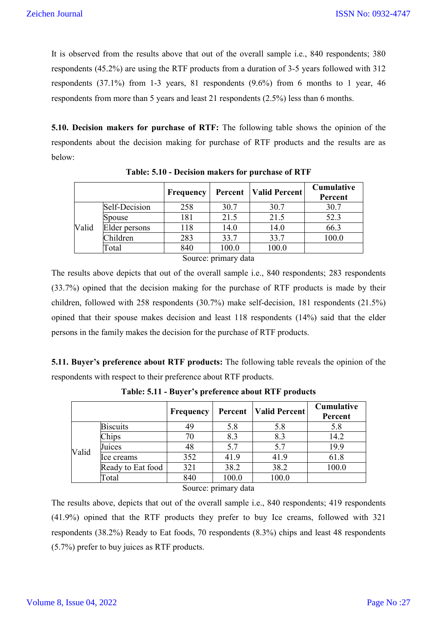It is observed from the results above that out of the overall sample i.e., 840 respondents; 380 respondents (45.2%) are using the RTF products from a duration of 3-5 years followed with 312 respondents (37.1%) from 1-3 years, 81 respondents (9.6%) from 6 months to 1 year, 46 respondents from more than 5 years and least 21 respondents (2.5%) less than 6 months.

**5.10. Decision makers for purchase of RTF:** The following table shows the opinion of the respondents about the decision making for purchase of RTF products and the results are as below:

|       |               | Frequency | Percent              | <b>Valid Percent</b> | Cumulative<br>Percent |
|-------|---------------|-----------|----------------------|----------------------|-----------------------|
|       | Self-Decision | 258       | 30.7                 | 30.7                 | 30.7                  |
|       | Spouse        | 181       | 21.5                 | 21.5                 | 52.3                  |
| Valid | Elder persons | 118       | 14.0                 | 14.0                 | 66.3                  |
|       | Children      | 283       | 33.7                 | 33.7                 | 100.0                 |
|       | Total         | 840       | 100.0                | 100.0                |                       |
|       |               |           | Source: primary data |                      |                       |

**Table: 5.10 - Decision makers for purchase of RTF**

Source: primary data

The results above depicts that out of the overall sample i.e., 840 respondents; 283 respondents (33.7%) opined that the decision making for the purchase of RTF products is made by their children, followed with 258 respondents (30.7%) make self-decision, 181 respondents (21.5%) opined that their spouse makes decision and least 118 respondents (14%) said that the elder persons in the family makes the decision for the purchase of RTF products.

**5.11. Buyer's preference about RTF products:** The following table reveals the opinion of the respondents with respect to their preference about RTF products.

|       |                   | <b>Frequency</b> | Percent                                                  | Valid Percent | Cumulative<br>Percent |
|-------|-------------------|------------------|----------------------------------------------------------|---------------|-----------------------|
|       | <b>Biscuits</b>   | 49               | 5.8                                                      | 5.8           | 5.8                   |
|       | Chips             | 70               | 8.3                                                      | 8.3           | 14.2                  |
| Valid | Juices            | 48               | 5.7                                                      | 5.7           | 19.9                  |
|       | lce creams        | 352              | 41.9                                                     | 41.9          | 61.8                  |
|       | Ready to Eat food | 321              | 38.2                                                     | 38.2          | 100.0                 |
|       | Total             | 840              | 100.0                                                    | 100.0         |                       |
|       |                   |                  | $S_{\text{out}}$ as $m_{\text{in}}$ and $d_{\text{obs}}$ |               |                       |

**Table: 5.11 - Buyer's preference about RTF products**

Source: primary data

The results above, depicts that out of the overall sample i.e., 840 respondents; 419 respondents (41.9%) opined that the RTF products they prefer to buy Ice creams, followed with 321 respondents (38.2%) Ready to Eat foods, 70 respondents (8.3%) chips and least 48 respondents (5.7%) prefer to buy juices as RTF products.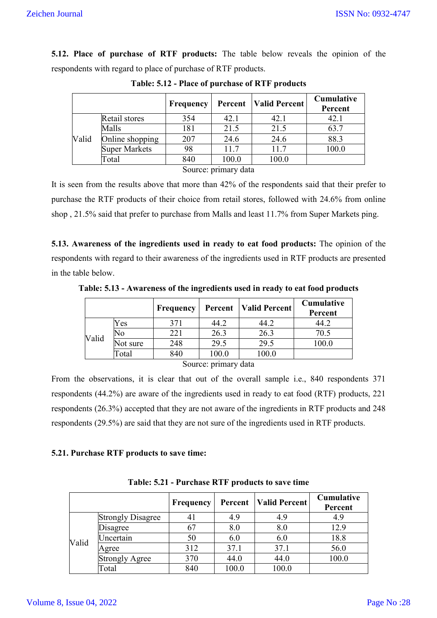**5.12. Place of purchase of RTF products:** The table below reveals the opinion of the respondents with regard to place of purchase of RTF products.

|       |                 | Frequency |                      | <b>Percent</b>   Valid Percent | Cumulative<br>Percent |
|-------|-----------------|-----------|----------------------|--------------------------------|-----------------------|
|       | Retail stores   | 354       | 42.1                 | 42.1                           | 42.1                  |
|       | Malls           | 181       | 21.5                 | 21.5                           | 63.7                  |
| Valid | Online shopping | 207       | 24.6                 | 24.6                           | 88.3                  |
|       | Super Markets   | 98        | 11.7                 | 11.7                           | 100.0                 |
|       | Total           | 840       | 100.0                | 100.0                          |                       |
|       |                 |           | Source: primary data |                                |                       |

**Table: 5.12 - Place of purchase of RTF products**

It is seen from the results above that more than 42% of the respondents said that their prefer to purchase the RTF products of their choice from retail stores, followed with 24.6% from online shop , 21.5% said that prefer to purchase from Malls and least 11.7% from Super Markets ping.

**5.13. Awareness of the ingredients used in ready to eat food products:** The opinion of the respondents with regard to their awareness of the ingredients used in RTF products are presented in the table below.

**Table: 5.13 - Awareness of the ingredients used in ready to eat food products**

|       |                      | Frequency | Percent | <b>Valid Percent</b> | <b>Cumulative</b><br>Percent |  |  |  |  |
|-------|----------------------|-----------|---------|----------------------|------------------------------|--|--|--|--|
|       | Yes                  | 371       | 44.2    | 44.2                 | 44.2                         |  |  |  |  |
|       | No                   | 221       | 26.3    | 26.3                 | 70.5                         |  |  |  |  |
| Valid | Not sure             | 248       | 29.5    | 29.5                 | 0.00                         |  |  |  |  |
|       | Total                | 840       | 100.0   | 100.0                |                              |  |  |  |  |
|       | Source: primary data |           |         |                      |                              |  |  |  |  |

Source: primary data

From the observations, it is clear that out of the overall sample i.e., 840 respondents 371 respondents (44.2%) are aware of the ingredients used in ready to eat food (RTF) products, 221 respondents (26.3%) accepted that they are not aware of the ingredients in RTF products and 248 respondents (29.5%) are said that they are not sure of the ingredients used in RTF products.

# **5.21. Purchase RTF products to save time:**

|       |                          | Frequency | Percent | Valid Percent | Cumulative<br>Percent |
|-------|--------------------------|-----------|---------|---------------|-----------------------|
| Valid | <b>Strongly Disagree</b> | 41        | 4.9     | 4.9           | 4.9                   |
|       | Disagree                 | 67        | 8.0     | 8.0           | 12.9                  |
|       | Uncertain                | 50        | 6.0     | 6.0           | 18.8                  |
|       | Agree                    | 312       | 37.1    | 37.1          | 56.0                  |
|       | <b>Strongly Agree</b>    | 370       | 44.0    | 44.0          | 100.0                 |
|       | Total                    | 840       | 100.0   | 100.0         |                       |

**Table: 5.21 - Purchase RTF products to save time**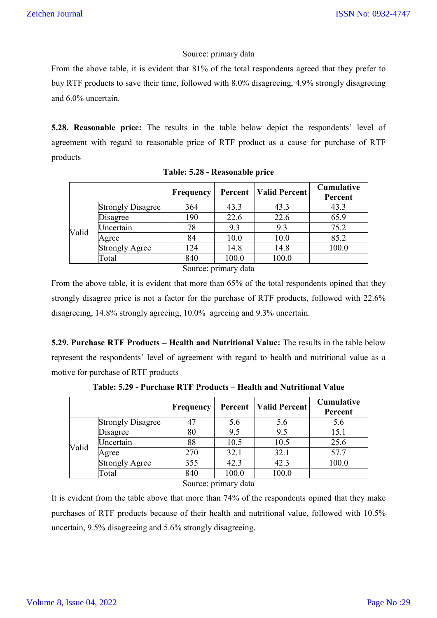## Source: primary data

From the above table, it is evident that 81% of the total respondents agreed that they prefer to buy RTF products to save their time, followed with 8.0% disagreeing, 4.9% strongly disagreeing and 6.0% uncertain.

**5.28. Reasonable price:** The results in the table below depict the respondents' level of agreement with regard to reasonable price of RTF product as a cause for purchase of RTF products

|       |                          | <b>Frequency</b> | Percent | <b>Valid Percent</b> | <b>Cumulative</b><br>Percent |
|-------|--------------------------|------------------|---------|----------------------|------------------------------|
|       | <b>Strongly Disagree</b> | 364              | 43.3    | 43.3                 | 43.3                         |
| Valid | Disagree                 | 190              | 22.6    | 22.6                 | 65.9                         |
|       | Uncertain                | 78               | 9.3     | 9.3                  | 75.2                         |
|       | Agree                    | 84               | 10.0    | 10.0                 | 85.2                         |
|       | <b>Strongly Agree</b>    | 124              | 14.8    | 14.8                 | 100.0                        |
|       | Total                    | 840              | 100.0   | 100.0                |                              |

| Table: 5.28 - Reasonable price |
|--------------------------------|
|--------------------------------|

Source: primary data

From the above table, it is evident that more than 65% of the total respondents opined that they strongly disagree price is not a factor for the purchase of RTF products, followed with 22.6% disagreeing, 14.8% strongly agreeing, 10.0% agreeing and 9.3% uncertain.

**5.29. Purchase RTF Products – Health and Nutritional Value:** The results in the table below represent the respondents' level of agreement with regard to health and nutritional value as a motive for purchase of RTF products

|       |                          | Frequency | Percent | <b>Valid Percent</b> | Cumulative<br>Percent |
|-------|--------------------------|-----------|---------|----------------------|-----------------------|
|       | <b>Strongly Disagree</b> | 47        | 5.6     | 5.6                  | 5.6                   |
| Valid | Disagree                 | 80        | 9.5     | 9.5                  | 15.1                  |
|       | Jncertain                | 88        | 10.5    | 10.5                 | 25.6                  |
|       | Agree                    | 270       | 32.1    | 32.1                 | 57.7                  |
|       | <b>Strongly Agree</b>    | 355       | 42.3    | 42.3                 | 100.0                 |
|       | Total                    | 840       | 100.0   | 100.0                |                       |

**Table: 5.29 - Purchase RTF Products – Health and Nutritional Value**

Source: primary data

It is evident from the table above that more than 74% of the respondents opined that they make purchases of RTF products because of their health and nutritional value, followed with 10.5% uncertain, 9.5% disagreeing and 5.6% strongly disagreeing.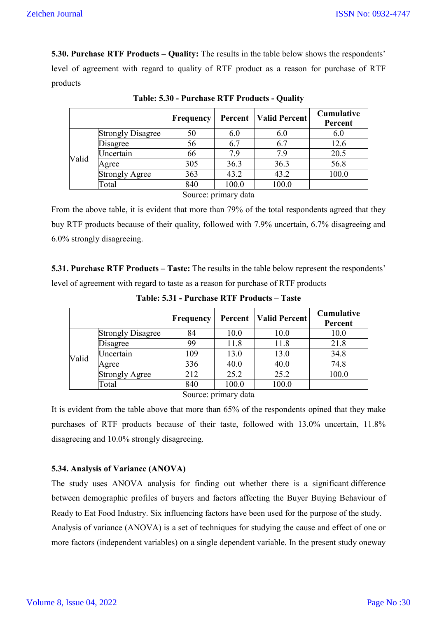**5.30. Purchase RTF Products – Quality:** The results in the table below shows the respondents' level of agreement with regard to quality of RTF product as a reason for purchase of RTF products

|       |                          | <b>Frequency</b> | Percent | <b>Valid Percent</b> | <b>Cumulative</b><br>Percent |
|-------|--------------------------|------------------|---------|----------------------|------------------------------|
|       | <b>Strongly Disagree</b> | 50               | 6.0     | 6.0                  | 6.0                          |
| Valid | Disagree                 | 56               | 6.7     | 6.7                  | 12.6                         |
|       | Jncertain                | 66               | 7.9     | 7.9                  | 20.5                         |
|       | Agree                    | 305              | 36.3    | 36.3                 | 56.8                         |
|       | <b>Strongly Agree</b>    | 363              | 43.2    | 43.2                 | 100.0                        |
|       | Total                    | 840              | 100.0   | 100.0                |                              |

**Table: 5.30 - Purchase RTF Products - Quality**

Source: primary data

From the above table, it is evident that more than 79% of the total respondents agreed that they buy RTF products because of their quality, followed with 7.9% uncertain, 6.7% disagreeing and 6.0% strongly disagreeing.

**5.31. Purchase RTF Products – Taste:** The results in the table below represent the respondents' level of agreement with regard to taste as a reason for purchase of RTF products

|       |                          | Frequency | Percent | Valid Percent | Cumulative<br>Percent |
|-------|--------------------------|-----------|---------|---------------|-----------------------|
|       | <b>Strongly Disagree</b> | 84        | 10.0    | 10.0          | 10.0                  |
| Valid | Disagree                 | 99        | 11.8    | 11.8          | 21.8                  |
|       | Uncertain                | 109       | 13.0    | 13.0          | 34.8                  |
|       | Agree                    | 336       | 40.0    | 40.0          | 74.8                  |
|       | <b>Strongly Agree</b>    | 212       | 25.2    | 25.2          | 100.0                 |
|       | Total                    | 840       | 100.0   | 100.0         |                       |

**Table: 5.31 - Purchase RTF Products – Taste**

Source: primary data

It is evident from the table above that more than 65% of the respondents opined that they make purchases of RTF products because of their taste, followed with 13.0% uncertain, 11.8% disagreeing and 10.0% strongly disagreeing.

# **5.34. Analysis of Variance (ANOVA)**

The study uses ANOVA analysis for finding out whether there is a significant difference between demographic profiles of buyers and factors affecting the Buyer Buying Behaviour of Ready to Eat Food Industry. Six influencing factors have been used for the purpose of the study. Analysis of variance (ANOVA) is a set of techniques for studying the cause and effect of one or more factors (independent variables) on a single dependent variable. In the present study oneway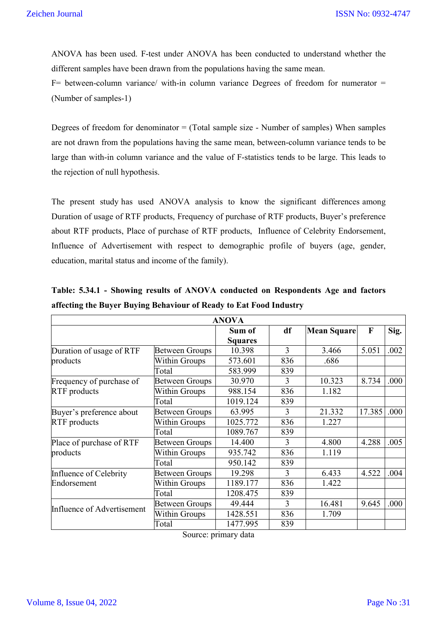ANOVA has been used. F-test under ANOVA has been conducted to understand whether the different samples have been drawn from the populations having the same mean.

 $F=$  between-column variance/ with-in column variance Degrees of freedom for numerator = (Number of samples-1)

Degrees of freedom for denominator  $=$  (Total sample size - Number of samples) When samples are not drawn from the populations having the same mean, between-column variance tends to be large than with-in column variance and the value of F-statistics tends to be large. This leads to the rejection of null hypothesis.

The present study has used ANOVA analysis to know the significant differences among Duration of usage of RTF products, Frequency of purchase of RTF products, Buyer's preference about RTF products, Place of purchase of RTF products, Influence of Celebrity Endorsement, Influence of Advertisement with respect to demographic profile of buyers (age, gender, education, marital status and income of the family).

|                            |                       | <b>ANOVA</b>   |                |                    |                           |      |
|----------------------------|-----------------------|----------------|----------------|--------------------|---------------------------|------|
|                            |                       | Sum of         | df             | <b>Mean Square</b> | $\boldsymbol{\mathrm{F}}$ | Sig. |
|                            |                       | <b>Squares</b> |                |                    |                           |      |
| Duration of usage of RTF   | <b>Between Groups</b> | 10.398         | $\overline{3}$ | 3.466              | 5.051                     | .002 |
| products                   | <b>Within Groups</b>  | 573.601        | 836            | .686               |                           |      |
|                            | Total                 | 583.999        | 839            |                    |                           |      |
| Frequency of purchase of   | <b>Between Groups</b> | 30.970         | 3              | 10.323             | 8.734                     | .000 |
| <b>RTF</b> products        | Within Groups         | 988.154        | 836            | 1.182              |                           |      |
|                            | Total                 | 1019.124       | 839            |                    |                           |      |
| Buyer's preference about   | <b>Between Groups</b> | 63.995         | 3              | 21.332             | 17.385                    | .000 |
| RTF products               | Within Groups         | 1025.772       | 836            | 1.227              |                           |      |
|                            | Total                 | 1089.767       | 839            |                    |                           |      |
| Place of purchase of RTF   | <b>Between Groups</b> | 14.400         | 3              | 4.800              | 4.288                     | .005 |
| products                   | <b>Within Groups</b>  | 935.742        | 836            | 1.119              |                           |      |
|                            | Total                 | 950.142        | 839            |                    |                           |      |
| Influence of Celebrity     | <b>Between Groups</b> | 19.298         | 3              | 6.433              | 4.522                     | .004 |
| Endorsement                | Within Groups         | 1189.177       | 836            | 1.422              |                           |      |
|                            | Total                 | 1208.475       | 839            |                    |                           |      |
|                            | <b>Between Groups</b> | 49.444         | $\overline{3}$ | 16.481             | 9.645                     | .000 |
| Influence of Advertisement | Within Groups         | 1428.551       | 836            | 1.709              |                           |      |
|                            | Total                 | 1477.995       | 839            |                    |                           |      |

**Table: 5.34.1 - Showing results of ANOVA conducted on Respondents Age and factors affecting the Buyer Buying Behaviour of Ready to Eat Food Industry**

Source: primary data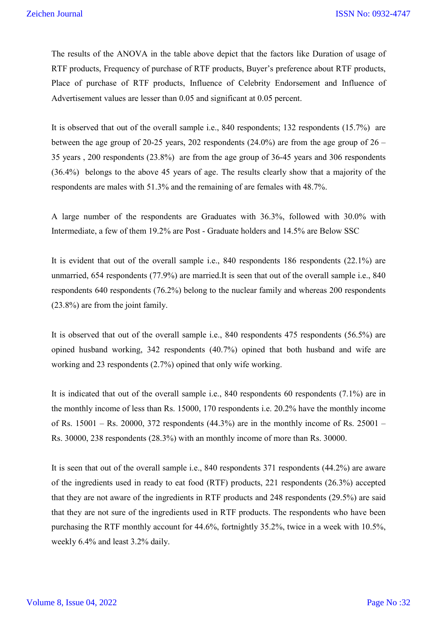The results of the ANOVA in the table above depict that the factors like Duration of usage of RTF products, Frequency of purchase of RTF products, Buyer's preference about RTF products, Place of purchase of RTF products, Influence of Celebrity Endorsement and Influence of Advertisement values are lesser than 0.05 and significant at 0.05 percent.

It is observed that out of the overall sample i.e., 840 respondents; 132 respondents (15.7%) are between the age group of 20-25 years, 202 respondents  $(24.0\%)$  are from the age group of  $26 -$ 35 years , 200 respondents (23.8%) are from the age group of 36-45 years and 306 respondents (36.4%) belongs to the above 45 years of age. The results clearly show that a majority of the respondents are males with 51.3% and the remaining of are females with 48.7%.

A large number of the respondents are Graduates with 36.3%, followed with 30.0% with Intermediate, a few of them 19.2% are Post - Graduate holders and 14.5% are Below SSC

It is evident that out of the overall sample i.e., 840 respondents 186 respondents (22.1%) are unmarried, 654 respondents (77.9%) are married.It is seen that out of the overall sample i.e., 840 respondents 640 respondents (76.2%) belong to the nuclear family and whereas 200 respondents (23.8%) are from the joint family.

It is observed that out of the overall sample i.e., 840 respondents 475 respondents (56.5%) are opined husband working, 342 respondents (40.7%) opined that both husband and wife are working and 23 respondents (2.7%) opined that only wife working.

It is indicated that out of the overall sample i.e., 840 respondents 60 respondents (7.1%) are in the monthly income of less than Rs. 15000, 170 respondents i.e. 20.2% have the monthly income of Rs.  $15001 -$  Rs.  $20000, 372$  respondents (44.3%) are in the monthly income of Rs.  $25001 -$ Rs. 30000, 238 respondents (28.3%) with an monthly income of more than Rs. 30000.

It is seen that out of the overall sample i.e., 840 respondents 371 respondents (44.2%) are aware of the ingredients used in ready to eat food (RTF) products, 221 respondents (26.3%) accepted that they are not aware of the ingredients in RTF products and 248 respondents (29.5%) are said that they are not sure of the ingredients used in RTF products. The respondents who have been purchasing the RTF monthly account for 44.6%, fortnightly 35.2%, twice in a week with 10.5%, weekly 6.4% and least 3.2% daily.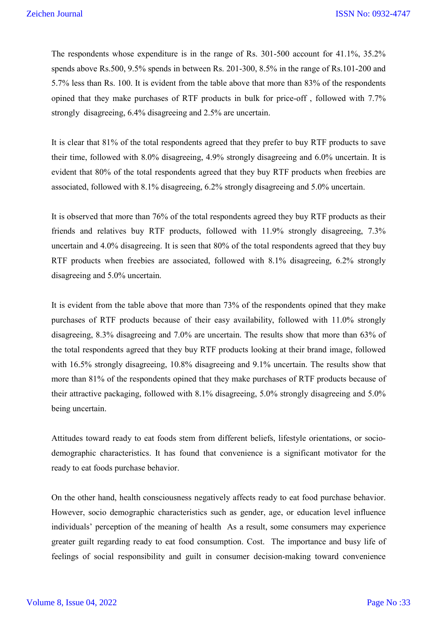The respondents whose expenditure is in the range of Rs. 301-500 account for 41.1%, 35.2% spends above Rs.500, 9.5% spends in between Rs. 201-300, 8.5% in the range of Rs.101-200 and 5.7% less than Rs. 100. It is evident from the table above that more than 83% of the respondents opined that they make purchases of RTF products in bulk for price-off , followed with 7.7% strongly disagreeing, 6.4% disagreeing and 2.5% are uncertain.

It is clear that 81% of the total respondents agreed that they prefer to buy RTF products to save their time, followed with 8.0% disagreeing, 4.9% strongly disagreeing and 6.0% uncertain. It is evident that 80% of the total respondents agreed that they buy RTF products when freebies are associated, followed with 8.1% disagreeing, 6.2% strongly disagreeing and 5.0% uncertain.

It is observed that more than 76% of the total respondents agreed they buy RTF products as their friends and relatives buy RTF products, followed with 11.9% strongly disagreeing, 7.3% uncertain and 4.0% disagreeing. It is seen that 80% of the total respondents agreed that they buy RTF products when freebies are associated, followed with 8.1% disagreeing, 6.2% strongly disagreeing and 5.0% uncertain.

It is evident from the table above that more than 73% of the respondents opined that they make purchases of RTF products because of their easy availability, followed with 11.0% strongly disagreeing, 8.3% disagreeing and 7.0% are uncertain. The results show that more than 63% of the total respondents agreed that they buy RTF products looking at their brand image, followed with 16.5% strongly disagreeing, 10.8% disagreeing and 9.1% uncertain. The results show that more than 81% of the respondents opined that they make purchases of RTF products because of their attractive packaging, followed with 8.1% disagreeing, 5.0% strongly disagreeing and 5.0% being uncertain.

Attitudes toward ready to eat foods stem from different beliefs, lifestyle orientations, or sociodemographic characteristics. It has found that convenience is a significant motivator for the ready to eat foods purchase behavior.

On the other hand, health consciousness negatively affects ready to eat food purchase behavior. However, socio demographic characteristics such as gender, age, or education level influence individuals' perception of the meaning of health As a result, some consumers may experience greater guilt regarding ready to eat food consumption. Cost. The importance and busy life of feelings of social responsibility and guilt in consumer decision-making toward convenience